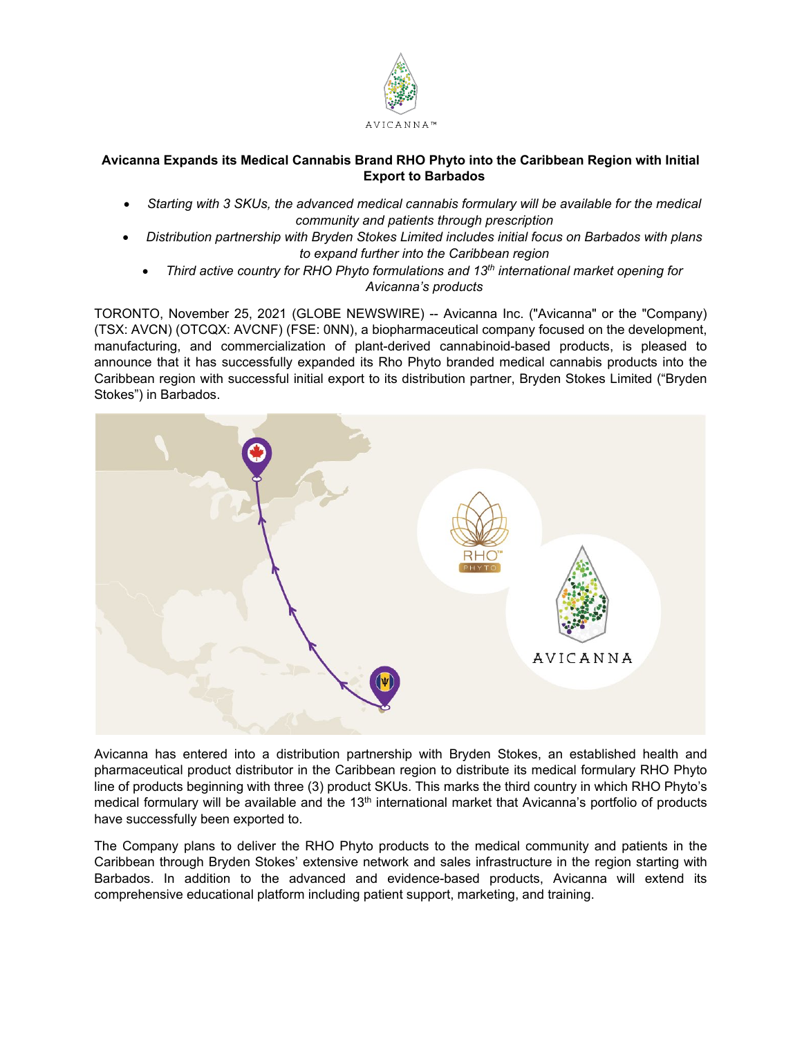

# **Avicanna Expands its Medical Cannabis Brand RHO Phyto into the Caribbean Region with Initial Export to Barbados**

- *Starting with 3 SKUs, the advanced medical cannabis formulary will be available for the medical community and patients through prescription*
- *Distribution partnership with Bryden Stokes Limited includes initial focus on Barbados with plans to expand further into the Caribbean region*
	- *Third active country for RHO Phyto formulations and 13th international market opening for Avicanna's products*

TORONTO, November 25, 2021 (GLOBE NEWSWIRE) -- Avicanna Inc. ("Avicanna" or the "Company) (TSX: AVCN) (OTCQX: AVCNF) (FSE: 0NN), a biopharmaceutical company focused on the development, manufacturing, and commercialization of plant-derived cannabinoid-based products, is pleased to announce that it has successfully expanded its Rho Phyto branded medical cannabis products into the Caribbean region with successful initial export to its distribution partner, Bryden Stokes Limited ("Bryden Stokes") in Barbados.



Avicanna has entered into a distribution partnership with Bryden Stokes, an established health and pharmaceutical product distributor in the Caribbean region to distribute its medical formulary RHO Phyto line of products beginning with three (3) product SKUs. This marks the third country in which RHO Phyto's medical formulary will be available and the  $13<sup>th</sup>$  international market that Avicanna's portfolio of products have successfully been exported to.

The Company plans to deliver the RHO Phyto products to the medical community and patients in the Caribbean through Bryden Stokes' extensive network and sales infrastructure in the region starting with Barbados. In addition to the advanced and evidence-based products, Avicanna will extend its comprehensive educational platform including patient support, marketing, and training.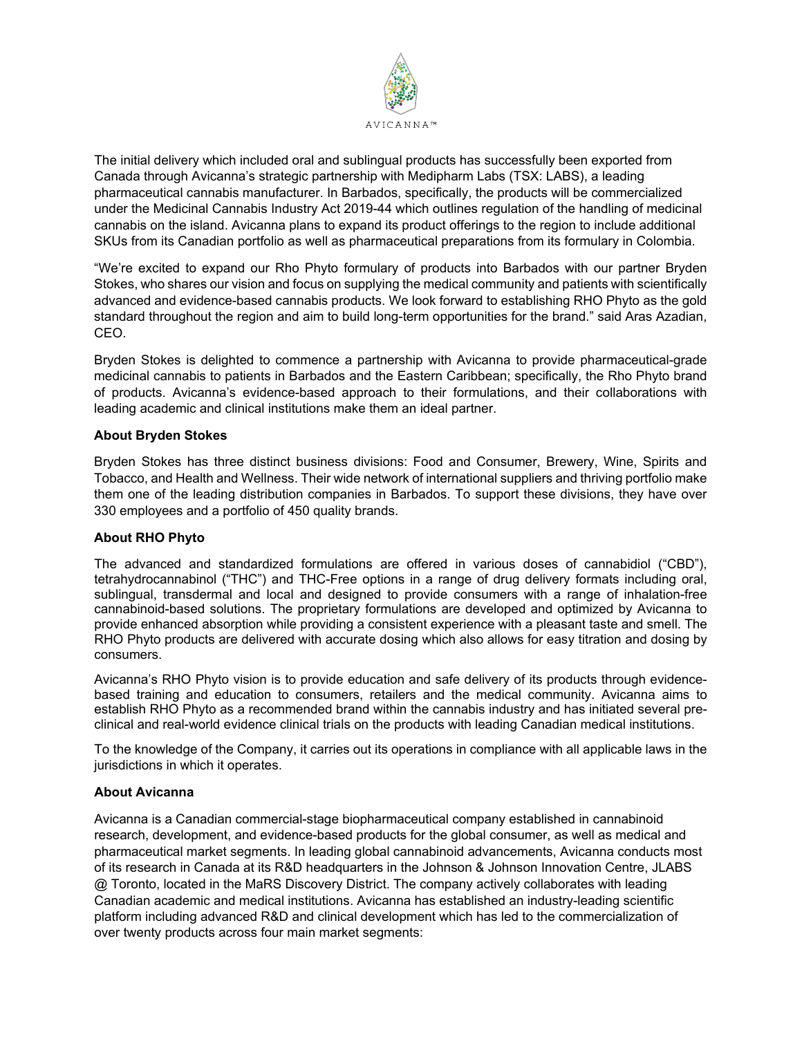

The initial delivery which included oral and sublingual products has successfully been exported from Canada through Avicanna's strategic partnership with Medipharm Labs (TSX: LABS), a leading pharmaceutical cannabis manufacturer. In Barbados, specifically, the products will be commercialized under the Medicinal Cannabis Industry Act 2019-44 which outlines regulation of the handling of medicinal cannabis on the island. Avicanna plans to expand its product offerings to the region to include additional SKUs from its Canadian portfolio as well as pharmaceutical preparations from its formulary in Colombia.

"We're excited to expand our Rho Phyto formulary of products into Barbados with our partner Bryden Stokes, who shares our vision and focus on supplying the medical community and patients with scientifically advanced and evidence-based cannabis products. We look forward to establishing RHO Phyto as the gold standard throughout the region and aim to build long-term opportunities for the brand." said Aras Azadian, CEO.

Bryden Stokes is delighted to commence a partnership with Avicanna to provide pharmaceutical-grade medicinal cannabis to patients in Barbados and the Eastern Caribbean; specifically, the Rho Phyto brand of products. Avicanna's evidence-based approach to their formulations, and their collaborations with leading academic and clinical institutions make them an ideal partner.

# **About Bryden Stokes**

Bryden Stokes has three distinct business divisions: Food and Consumer, Brewery, Wine, Spirits and Tobacco, and Health and Wellness. Their wide network of international suppliers and thriving portfolio make them one of the leading distribution companies in Barbados. To support these divisions, they have over 330 employees and a portfolio of 450 quality brands.

# **About RHO Phyto**

The advanced and standardized formulations are offered in various doses of cannabidiol ("CBD"), tetrahydrocannabinol ("THC") and THC-Free options in a range of drug delivery formats including oral, sublingual, transdermal and local and designed to provide consumers with a range of inhalation-free cannabinoid-based solutions. The proprietary formulations are developed and optimized by Avicanna to provide enhanced absorption while providing a consistent experience with a pleasant taste and smell. The RHO Phyto products are delivered with accurate dosing which also allows for easy titration and dosing by consumers.

Avicanna's RHO Phyto vision is to provide education and safe delivery of its products through evidencebased training and education to consumers, retailers and the medical community. Avicanna aims to establish RHO Phyto as a recommended brand within the cannabis industry and has initiated several preclinical and real-world evidence clinical trials on the products with leading Canadian medical institutions.

To the knowledge of the Company, it carries out its operations in compliance with all applicable laws in the jurisdictions in which it operates.

# **About Avicanna**

Avicanna is a Canadian commercial-stage biopharmaceutical company established in cannabinoid research, development, and evidence-based products for the global consumer, as well as medical and pharmaceutical market segments. In leading global cannabinoid advancements, Avicanna conducts most of its research in Canada at its R&D headquarters in the Johnson & Johnson Innovation Centre, JLABS @ Toronto, located in the MaRS Discovery District. The company actively collaborates with leading Canadian academic and medical institutions. Avicanna has established an industry-leading scientific platform including advanced R&D and clinical development which has led to the commercialization of over twenty products across four main market segments: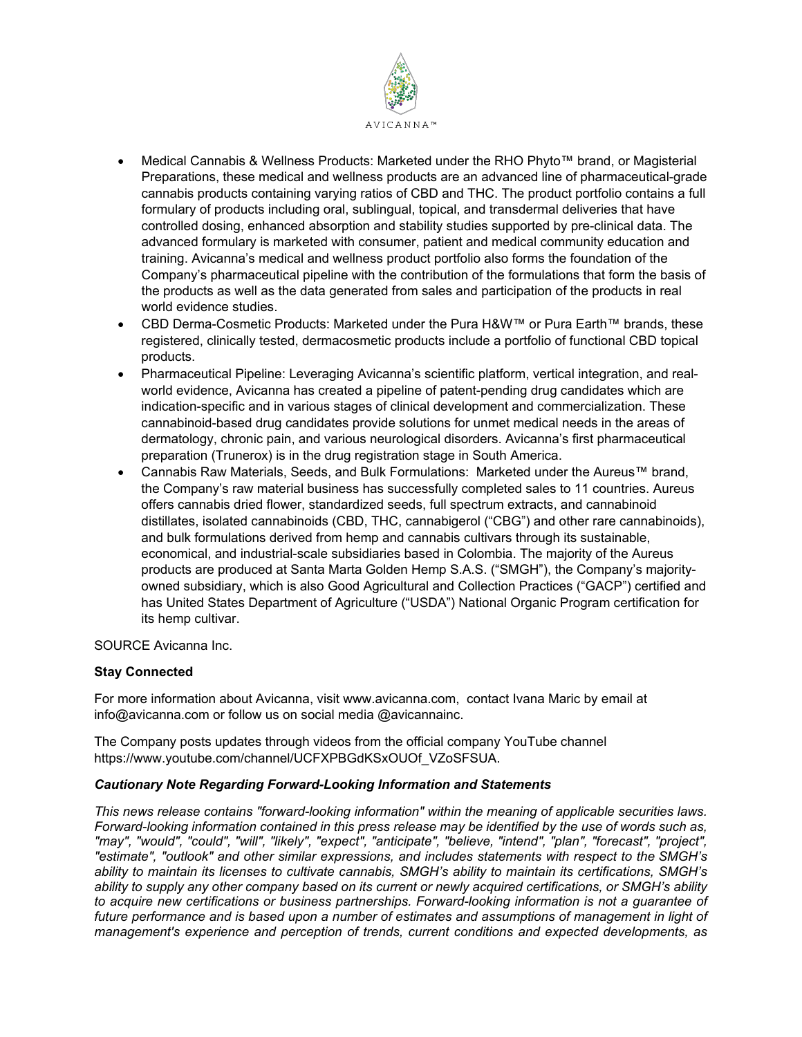

- Medical Cannabis & Wellness Products: Marketed under the RHO Phyto™ brand, or Magisterial Preparations, these medical and wellness products are an advanced line of pharmaceutical-grade cannabis products containing varying ratios of CBD and THC. The product portfolio contains a full formulary of products including oral, sublingual, topical, and transdermal deliveries that have controlled dosing, enhanced absorption and stability studies supported by pre-clinical data. The advanced formulary is marketed with consumer, patient and medical community education and training. Avicanna's medical and wellness product portfolio also forms the foundation of the Company's pharmaceutical pipeline with the contribution of the formulations that form the basis of the products as well as the data generated from sales and participation of the products in real world evidence studies.
- CBD Derma-Cosmetic Products: Marketed under the Pura H&W™ or Pura Earth™ brands, these registered, clinically tested, dermacosmetic products include a portfolio of functional CBD topical products.
- Pharmaceutical Pipeline: Leveraging Avicanna's scientific platform, vertical integration, and realworld evidence, Avicanna has created a pipeline of patent-pending drug candidates which are indication-specific and in various stages of clinical development and commercialization. These cannabinoid-based drug candidates provide solutions for unmet medical needs in the areas of dermatology, chronic pain, and various neurological disorders. Avicanna's first pharmaceutical preparation (Trunerox) is in the drug registration stage in South America.
- Cannabis Raw Materials, Seeds, and Bulk Formulations: Marketed under the Aureus™ brand, the Company's raw material business has successfully completed sales to 11 countries. Aureus offers cannabis dried flower, standardized seeds, full spectrum extracts, and cannabinoid distillates, isolated cannabinoids (CBD, THC, cannabigerol ("CBG") and other rare cannabinoids), and bulk formulations derived from hemp and cannabis cultivars through its sustainable, economical, and industrial-scale subsidiaries based in Colombia. The majority of the Aureus products are produced at Santa Marta Golden Hemp S.A.S. ("SMGH"), the Company's majorityowned subsidiary, which is also Good Agricultural and Collection Practices ("GACP") certified and has United States Department of Agriculture ("USDA") National Organic Program certification for its hemp cultivar.

SOURCE Avicanna Inc.

# **Stay Connected**

For more information about Avicanna, visit [www.avicanna.com,](http://www.avicanna.com/) contact Ivana Maric by email at [info@avicanna.com](mailto:info@avicanna.com) or follow us on social media @avicannainc.

The Company posts updates through videos from the official company YouTube channel [https://www.youtube.com/channel/UCFXPBGdKSxOUOf\\_VZoSFSUA.](https://www.youtube.com/channel/UCFXPBGdKSxOUOf_VZoSFSUA)

### *Cautionary Note Regarding Forward-Looking Information and Statements*

*This news release contains "forward-looking information" within the meaning of applicable securities laws. Forward-looking information contained in this press release may be identified by the use of words such as, "may", "would", "could", "will", "likely", "expect", "anticipate", "believe, "intend", "plan", "forecast", "project", "estimate", "outlook" and other similar expressions, and includes statements with respect to the SMGH's ability to maintain its licenses to cultivate cannabis, SMGH's ability to maintain its certifications, SMGH's ability to supply any other company based on its current or newly acquired certifications, or SMGH's ability to acquire new certifications or business partnerships. Forward-looking information is not a guarantee of future performance and is based upon a number of estimates and assumptions of management in light of management's experience and perception of trends, current conditions and expected developments, as*